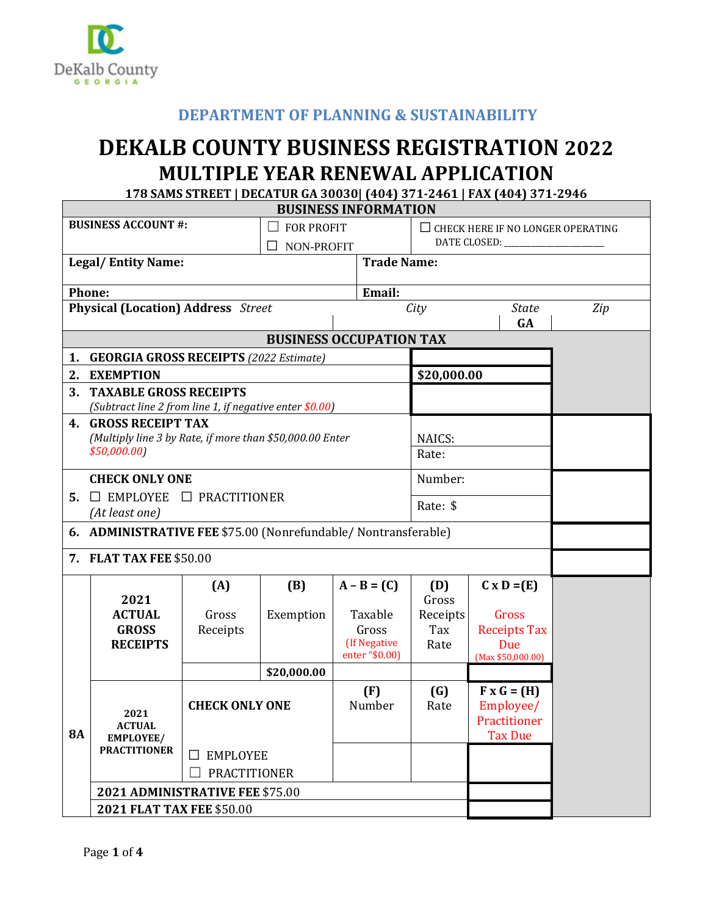

## **DEPARTMENT OF PLANNING & SUSTAINABILITY**

## **DEKALB COUNTY BUSINESS REGISTRATION 2022 MULTIPLE YEAR RENEWAL APPLICATION**

**178 SAMS STREET | DECATUR GA 30030| (404) 371-2461 | FAX (404) 371-2946** 

| <b>BUSINESS INFORMATION</b>                         |                                                                                                   |                                    |                       |                  |                            |                                                                                              |     |  |  |  |
|-----------------------------------------------------|---------------------------------------------------------------------------------------------------|------------------------------------|-----------------------|------------------|----------------------------|----------------------------------------------------------------------------------------------|-----|--|--|--|
| <b>BUSINESS ACCOUNT #:</b><br><b>FOR PROFIT</b>     |                                                                                                   |                                    |                       |                  | DATE CLOSED: ____________  | $\Box$ CHECK HERE IF NO LONGER OPERATING                                                     |     |  |  |  |
|                                                     |                                                                                                   |                                    | NON-PROFIT<br>$\perp$ |                  |                            |                                                                                              |     |  |  |  |
| <b>Trade Name:</b><br><b>Legal/Entity Name:</b>     |                                                                                                   |                                    |                       |                  |                            |                                                                                              |     |  |  |  |
| Email:<br><b>Phone:</b>                             |                                                                                                   |                                    |                       |                  |                            |                                                                                              |     |  |  |  |
| <b>Physical (Location) Address</b> Street           |                                                                                                   |                                    |                       |                  | City<br><b>State</b><br>GA |                                                                                              | Zip |  |  |  |
| <b>BUSINESS OCCUPATION TAX</b>                      |                                                                                                   |                                    |                       |                  |                            |                                                                                              |     |  |  |  |
| <b>GEORGIA GROSS RECEIPTS (2022 Estimate)</b><br>1. |                                                                                                   |                                    |                       |                  |                            |                                                                                              |     |  |  |  |
| 2.                                                  | <b>EXEMPTION</b>                                                                                  |                                    |                       |                  | \$20,000.00                |                                                                                              |     |  |  |  |
| 3.                                                  | <b>TAXABLE GROSS RECEIPTS</b>                                                                     |                                    |                       |                  |                            |                                                                                              |     |  |  |  |
|                                                     | (Subtract line 2 from line 1, if negative enter \$0.00)                                           |                                    |                       |                  |                            |                                                                                              |     |  |  |  |
|                                                     | <b>4. GROSS RECEIPT TAX</b><br>(Multiply line 3 by Rate, if more than \$50,000.00 Enter<br>NAICS: |                                    |                       |                  |                            |                                                                                              |     |  |  |  |
|                                                     | \$50,000.00]                                                                                      |                                    |                       |                  | Rate:                      |                                                                                              |     |  |  |  |
|                                                     |                                                                                                   |                                    |                       |                  |                            |                                                                                              |     |  |  |  |
|                                                     | <b>CHECK ONLY ONE</b>                                                                             |                                    |                       |                  | Number:                    |                                                                                              |     |  |  |  |
|                                                     | 5. $\Box$ EMPLOYEE $\Box$ PRACTITIONER                                                            |                                    |                       |                  | Rate: \$                   |                                                                                              |     |  |  |  |
|                                                     | (At least one)<br>6. ADMINISTRATIVE FEE \$75.00 (Nonrefundable/ Nontransferable)                  |                                    |                       |                  |                            |                                                                                              |     |  |  |  |
|                                                     |                                                                                                   |                                    |                       |                  |                            |                                                                                              |     |  |  |  |
|                                                     | 7. FLAT TAX FEE \$50.00                                                                           |                                    |                       |                  |                            |                                                                                              |     |  |  |  |
|                                                     |                                                                                                   | (A)                                | (B)                   | $A - B = (C)$    | (D)                        | $C \times D = (E)$                                                                           |     |  |  |  |
|                                                     | 2021                                                                                              |                                    |                       |                  | Gross                      |                                                                                              |     |  |  |  |
|                                                     | <b>ACTUAL</b><br><b>GROSS</b>                                                                     | Gross<br>Receipts                  | Exemption             | Taxable<br>Gross | Receipts<br>Tax            | Gross<br><b>Receipts Tax</b>                                                                 |     |  |  |  |
|                                                     | <b>RECEIPTS</b>                                                                                   |                                    |                       | (If Negative     | Rate                       | Due                                                                                          |     |  |  |  |
|                                                     |                                                                                                   |                                    |                       | enter "\$0.00)   |                            | (Max \$50,000.00)                                                                            |     |  |  |  |
|                                                     |                                                                                                   |                                    | \$20,000.00           |                  |                            |                                                                                              |     |  |  |  |
| <b>8A</b>                                           | 2021<br><b>ACTUAL</b><br><b>EMPLOYEE/</b>                                                         | <b>CHECK ONLY ONE</b>              |                       | (F)<br>Number    | (G)<br>Rate                | $\mathbf{F} \times \mathbf{G} = (\mathbf{H})$<br>Employee/<br>Practitioner<br><b>Tax Due</b> |     |  |  |  |
|                                                     | <b>PRACTITIONER</b>                                                                               | $\square$ EMPLOYEE<br>PRACTITIONER |                       |                  |                            |                                                                                              |     |  |  |  |
|                                                     | 2021 ADMINISTRATIVE FEE \$75.00                                                                   |                                    |                       |                  |                            |                                                                                              |     |  |  |  |
|                                                     | 2021 FLAT TAX FEE \$50.00                                                                         |                                    |                       |                  |                            |                                                                                              |     |  |  |  |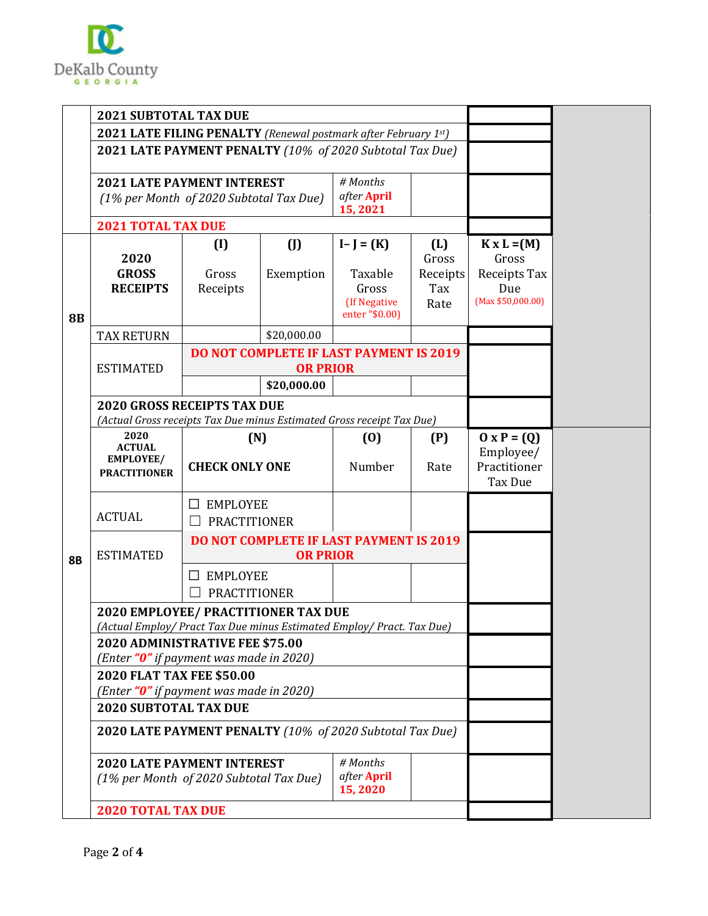

|           | <b>2021 SUBTOTAL TAX DUE</b>                                                                                               |                                                                                                       |                        |                                         |                          |                                                            |  |
|-----------|----------------------------------------------------------------------------------------------------------------------------|-------------------------------------------------------------------------------------------------------|------------------------|-----------------------------------------|--------------------------|------------------------------------------------------------|--|
|           | 2021 LATE FILING PENALTY (Renewal postmark after February 1st)<br>2021 LATE PAYMENT PENALTY (10% of 2020 Subtotal Tax Due) |                                                                                                       |                        |                                         |                          |                                                            |  |
|           |                                                                                                                            |                                                                                                       |                        |                                         |                          |                                                            |  |
|           | # Months<br><b>2021 LATE PAYMENT INTEREST</b>                                                                              |                                                                                                       |                        |                                         |                          |                                                            |  |
|           | (1% per Month of 2020 Subtotal Tax Due)                                                                                    |                                                                                                       | after April<br>15,2021 |                                         |                          |                                                            |  |
|           | <b>2021 TOTAL TAX DUE</b>                                                                                                  |                                                                                                       |                        |                                         |                          |                                                            |  |
|           | 2020<br><b>GROSS</b>                                                                                                       | (I)<br>Gross                                                                                          | (<br>Exemption         | $I-J = (K)$<br>Taxable                  | (L)<br>Gross<br>Receipts | $K \times L = (M)$<br>Gross<br>Receipts Tax                |  |
| <b>8B</b> | <b>RECEIPTS</b>                                                                                                            | Receipts                                                                                              |                        | Gross<br>(If Negative<br>enter "\$0.00) | Tax<br>Rate              | Due<br>(Max \$50,000.00)                                   |  |
|           | <b>TAX RETURN</b>                                                                                                          |                                                                                                       | \$20,000.00            |                                         |                          |                                                            |  |
|           | <b>ESTIMATED</b>                                                                                                           | <b>DO NOT COMPLETE IF LAST PAYMENT IS 2019</b><br><b>OR PRIOR</b>                                     |                        |                                         |                          |                                                            |  |
|           |                                                                                                                            |                                                                                                       | \$20,000.00            |                                         |                          |                                                            |  |
|           | <b>2020 GROSS RECEIPTS TAX DUE</b>                                                                                         |                                                                                                       |                        |                                         |                          |                                                            |  |
|           | 2020<br><b>ACTUAL</b><br><b>EMPLOYEE/</b><br><b>PRACTITIONER</b>                                                           | (Actual Gross receipts Tax Due minus Estimated Gross receipt Tax Due)<br>(N)<br><b>CHECK ONLY ONE</b> |                        | (0)<br>Number                           | (P)<br>Rate              | $0 \times P = (Q)$<br>Employee/<br>Practitioner<br>Tax Due |  |
| <b>8B</b> | <b>ACTUAL</b>                                                                                                              | <b>EMPLOYEE</b><br><b>PRACTITIONER</b>                                                                |                        |                                         |                          |                                                            |  |
|           | <b>ESTIMATED</b>                                                                                                           | DO NOT COMPLETE IF LAST PAYMENT IS 2019<br><b>OR PRIOR</b>                                            |                        |                                         |                          |                                                            |  |
|           |                                                                                                                            | <b>EMPLOYEE</b><br><b>PRACTITIONER</b>                                                                |                        |                                         |                          |                                                            |  |
|           | 2020 EMPLOYEE/ PRACTITIONER TAX DUE<br>(Actual Employ/ Pract Tax Due minus Estimated Employ/ Pract. Tax Due)               |                                                                                                       |                        |                                         |                          |                                                            |  |
|           | 2020 ADMINISTRATIVE FEE \$75.00<br>(Enter "0" if payment was made in 2020)                                                 |                                                                                                       |                        |                                         |                          |                                                            |  |
|           |                                                                                                                            | 2020 FLAT TAX FEE \$50.00<br>(Enter "0" if payment was made in 2020)                                  |                        |                                         |                          |                                                            |  |
|           | 2020 SUBTOTAL TAX DUE                                                                                                      |                                                                                                       |                        |                                         |                          |                                                            |  |
|           | 2020 LATE PAYMENT PENALTY (10% of 2020 Subtotal Tax Due)                                                                   |                                                                                                       |                        |                                         |                          |                                                            |  |
|           | <b>2020 LATE PAYMENT INTEREST</b><br>(1% per Month of 2020 Subtotal Tax Due)                                               |                                                                                                       |                        |                                         |                          |                                                            |  |
|           | <b>2020 TOTAL TAX DUE</b>                                                                                                  |                                                                                                       |                        |                                         |                          |                                                            |  |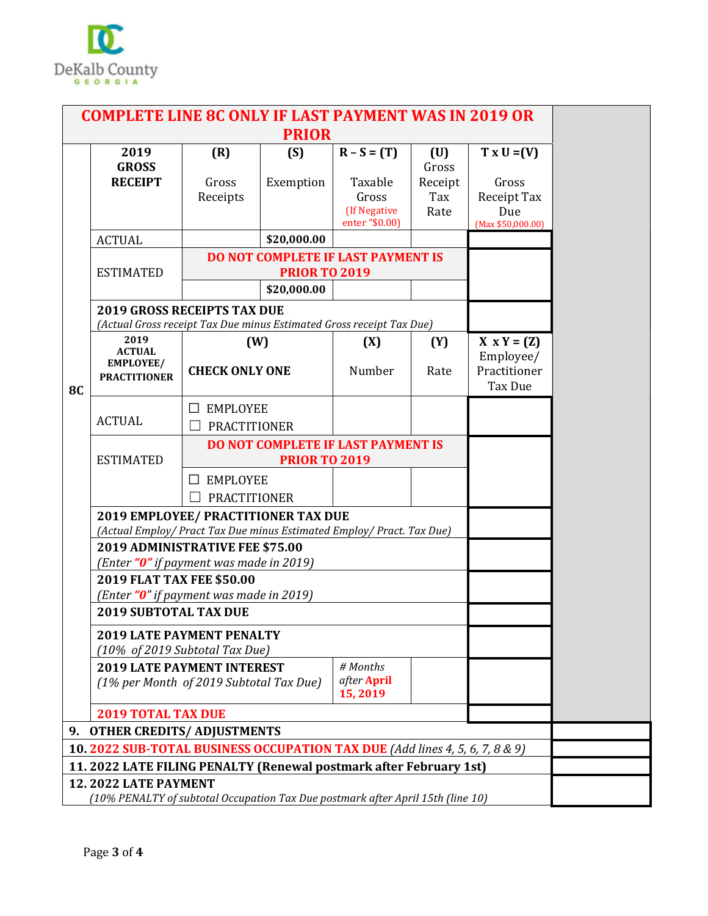

| <b>COMPLETE LINE 8C ONLY IF LAST PAYMENT WAS IN 2019 OR</b>                                                    |                                                                                                                                                      |                                                             |                                                            |                                                    |                                 |                                                            |  |  |
|----------------------------------------------------------------------------------------------------------------|------------------------------------------------------------------------------------------------------------------------------------------------------|-------------------------------------------------------------|------------------------------------------------------------|----------------------------------------------------|---------------------------------|------------------------------------------------------------|--|--|
| <b>PRIOR</b>                                                                                                   |                                                                                                                                                      |                                                             |                                                            |                                                    |                                 |                                                            |  |  |
|                                                                                                                | 2019                                                                                                                                                 | (R)                                                         | (S)                                                        | $R - S = (T)$                                      | (U)                             | $T \times U = (V)$                                         |  |  |
|                                                                                                                | <b>GROSS</b><br><b>RECEIPT</b>                                                                                                                       | Gross<br>Receipts                                           | Exemption                                                  | Taxable<br>Gross<br>(If Negative<br>enter "\$0.00) | Gross<br>Receipt<br>Tax<br>Rate | Gross<br>Receipt Tax<br>Due<br>(Max \$50,000.00)           |  |  |
|                                                                                                                | <b>ACTUAL</b>                                                                                                                                        |                                                             | \$20,000.00                                                |                                                    |                                 |                                                            |  |  |
|                                                                                                                | <b>ESTIMATED</b>                                                                                                                                     |                                                             | <b>PRIOR TO 2019</b><br>\$20,000.00                        | DO NOT COMPLETE IF LAST PAYMENT IS                 |                                 |                                                            |  |  |
|                                                                                                                | <b>2019 GROSS RECEIPTS TAX DUE</b><br>(Actual Gross receipt Tax Due minus Estimated Gross receipt Tax Due)                                           |                                                             |                                                            |                                                    |                                 |                                                            |  |  |
| <b>8C</b>                                                                                                      | 2019<br><b>ACTUAL</b><br>EMPLOYEE/<br><b>PRACTITIONER</b>                                                                                            | (W)<br><b>CHECK ONLY ONE</b>                                |                                                            | (X)<br>Number                                      | (Y)<br>Rate                     | $X \times Y = (Z)$<br>Employee/<br>Practitioner<br>Tax Due |  |  |
|                                                                                                                | <b>ACTUAL</b>                                                                                                                                        | <b>EMPLOYEE</b><br>$\Box$<br>PRACTITIONER                   |                                                            |                                                    |                                 |                                                            |  |  |
|                                                                                                                | <b>ESTIMATED</b>                                                                                                                                     |                                                             | DO NOT COMPLETE IF LAST PAYMENT IS<br><b>PRIOR TO 2019</b> |                                                    |                                 |                                                            |  |  |
|                                                                                                                |                                                                                                                                                      | <b>EMPLOYEE</b><br>$\perp$<br><b>PRACTITIONER</b><br>$\Box$ |                                                            |                                                    |                                 |                                                            |  |  |
|                                                                                                                | 2019 EMPLOYEE/ PRACTITIONER TAX DUE<br>(Actual Employ/ Pract Tax Due minus Estimated Employ/ Pract. Tax Due)                                         |                                                             |                                                            |                                                    |                                 |                                                            |  |  |
|                                                                                                                | 2019 ADMINISTRATIVE FEE \$75.00<br>(Enter "0" if payment was made in 2019)                                                                           |                                                             |                                                            |                                                    |                                 |                                                            |  |  |
|                                                                                                                | 2019 FLAT TAX FEE \$50.00<br>(Enter "0" if payment was made in 2019)                                                                                 |                                                             |                                                            |                                                    |                                 |                                                            |  |  |
|                                                                                                                | <b>2019 SUBTOTAL TAX DUE</b><br><b>2019 LATE PAYMENT PENALTY</b>                                                                                     |                                                             |                                                            |                                                    |                                 |                                                            |  |  |
|                                                                                                                | (10% of 2019 Subtotal Tax Due)<br># Months<br><b>2019 LATE PAYMENT INTEREST</b><br>after April<br>(1% per Month of 2019 Subtotal Tax Due)<br>15,2019 |                                                             |                                                            |                                                    |                                 |                                                            |  |  |
|                                                                                                                | <b>2019 TOTAL TAX DUE</b>                                                                                                                            |                                                             |                                                            |                                                    |                                 |                                                            |  |  |
| 9.                                                                                                             | <b>OTHER CREDITS/ ADJUSTMENTS</b>                                                                                                                    |                                                             |                                                            |                                                    |                                 |                                                            |  |  |
|                                                                                                                | 10. 2022 SUB-TOTAL BUSINESS OCCUPATION TAX DUE (Add lines 4, 5, 6, 7, 8 & 9)                                                                         |                                                             |                                                            |                                                    |                                 |                                                            |  |  |
| 11. 2022 LATE FILING PENALTY (Renewal postmark after February 1st)                                             |                                                                                                                                                      |                                                             |                                                            |                                                    |                                 |                                                            |  |  |
| <b>12.2022 LATE PAYMENT</b><br>(10% PENALTY of subtotal Occupation Tax Due postmark after April 15th (line 10) |                                                                                                                                                      |                                                             |                                                            |                                                    |                                 |                                                            |  |  |